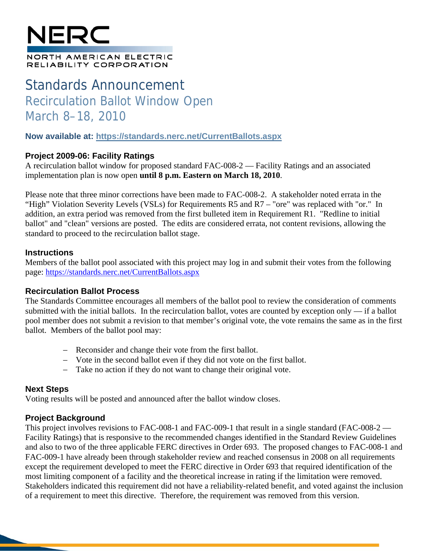# NERC

#### NORTH AMERICAN ELECTRIC RELIABILITY CORPORATION

## Standards Announcement Recirculation Ballot Window Open March 8–18, 2010

#### **Now available at: https://standards.nerc.net/CurrentBallots.aspx**

#### **Project 2009-06: Facility Ratings**

A recirculation ballot window for proposed standard FAC-008-2 — Facility Ratings and an associated implementation plan is now open **until 8 p.m. Eastern on March 18, 2010**.

Please note that three minor corrections have been made to FAC-008-2. A stakeholder noted errata in the "High" Violation Severity Levels (VSLs) for Requirements R5 and R7 – "ore" was replaced with "or." In addition, an extra period was removed from the first bulleted item in Requirement R1. "Redline to initial ballot" and "clean" versions are posted. The edits are considered errata, not content revisions, allowing the standard to proceed to the recirculation ballot stage.

#### **Instructions**

Members of the ballot pool associated with this project may log in and submit their votes from the following page: https://standards.nerc.net/CurrentBallots.aspx

#### **Recirculation Ballot Process**

The Standards Committee encourages all members of the ballot pool to review the consideration of comments submitted with the initial ballots. In the recirculation ballot, votes are counted by exception only — if a ballot pool member does not submit a revision to that member's original vote, the vote remains the same as in the first ballot. Members of the ballot pool may:

- Reconsider and change their vote from the first ballot.
- Vote in the second ballot even if they did not vote on the first ballot.
- Take no action if they do not want to change their original vote.

#### **Next Steps**

Voting results will be posted and announced after the ballot window closes.

#### **Project Background**

This project involves revisions to FAC-008-1 and FAC-009-1 that result in a single standard (FAC-008-2 — Facility Ratings) that is responsive to the recommended changes identified in the Standard Review Guidelines and also to two of the three applicable FERC directives in Order 693. The proposed changes to FAC-008-1 and FAC-009-1 have already been through stakeholder review and reached consensus in 2008 on all requirements except the requirement developed to meet the FERC directive in Order 693 that required identification of the most limiting component of a facility and the theoretical increase in rating if the limitation were removed. Stakeholders indicated this requirement did not have a reliability-related benefit, and voted against the inclusion of a requirement to meet this directive. Therefore, the requirement was removed from this version.